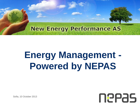#### **New Energy Performance AS**

# **Energy Management - Powered by NEPAS**

neeas

Sofia, 10 October 2013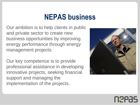### **NEPAS business**

Our ambition is to help clients in public and private sector to create new business opportunities by improving energy performance through energy management projects.

Our key competence is to provide professional assistance in developing innovative projects, seeking financial support and managing the implementation of the projects.



# Neeas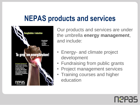#### **NEPAS products and services**



Our products and services are under the umbrella **energy management**, and include:

- Energy- and climate project development
- Fundraising from public grants
- Project management services
- Training courses and higher education

Neeas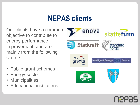## **NEPAS clients**

Our clients have a common objective to contribute to energy performance improvement, and are mainly from the following sectors:

- Public grant schemes
- Energy sector
- Municipalities
- Educational institutions



NYPZS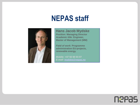#### **NEPAS staff**



**Hans Jacob Mydske** *Position:* **Managing Director**  *Academic title:* **Engineer, Master of Management (MM)** 

*Field of work:* **Programme administration EU-projects, renewable energy.** 

*Mobile:* **[+47 92 60 03 07](mailto:mydske@nepas.no)**  *E-mail:* **mydske@nepas.no**